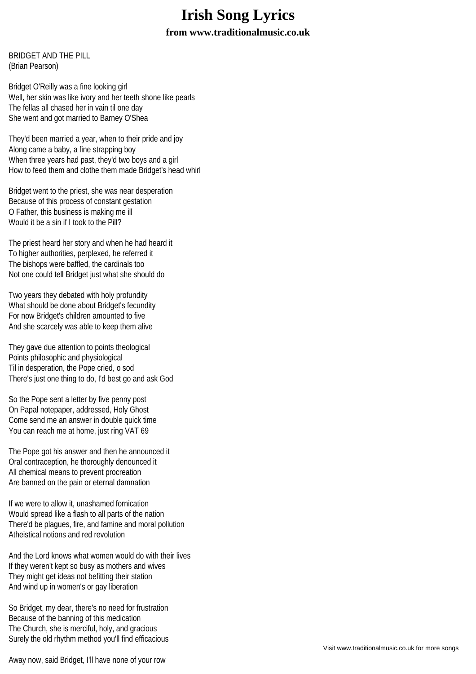## **Irish Song Lyrics**

## **from www.traditionalmusic.co.uk**

BRIDGET AND THE PILL (Brian Pearson)

Bridget O'Reilly was a fine looking girl Well, her skin was like ivory and her teeth shone like pearls The fellas all chased her in vain til one day She went and got married to Barney O'Shea

They'd been married a year, when to their pride and joy Along came a baby, a fine strapping boy When three years had past, they'd two boys and a girl How to feed them and clothe them made Bridget's head whirl

Bridget went to the priest, she was near desperation Because of this process of constant gestation O Father, this business is making me ill Would it be a sin if I took to the Pill?

The priest heard her story and when he had heard it To higher authorities, perplexed, he referred it The bishops were baffled, the cardinals too Not one could tell Bridget just what she should do

Two years they debated with holy profundity What should be done about Bridget's fecundity For now Bridget's children amounted to five And she scarcely was able to keep them alive

They gave due attention to points theological Points philosophic and physiological Til in desperation, the Pope cried, o sod There's just one thing to do, I'd best go and ask God

So the Pope sent a letter by five penny post On Papal notepaper, addressed, Holy Ghost Come send me an answer in double quick time You can reach me at home, just ring VAT 69

The Pope got his answer and then he announced it Oral contraception, he thoroughly denounced it All chemical means to prevent procreation Are banned on the pain or eternal damnation

If we were to allow it, unashamed fornication Would spread like a flash to all parts of the nation There'd be plagues, fire, and famine and moral pollution Atheistical notions and red revolution

And the Lord knows what women would do with their lives If they weren't kept so busy as mothers and wives They might get ideas not befitting their station And wind up in women's or gay liberation

So Bridget, my dear, there's no need for frustration Because of the banning of this medication The Church, she is merciful, holy, and gracious Surely the old rhythm method you'll find efficacious

Away now, said Bridget, I'll have none of your row